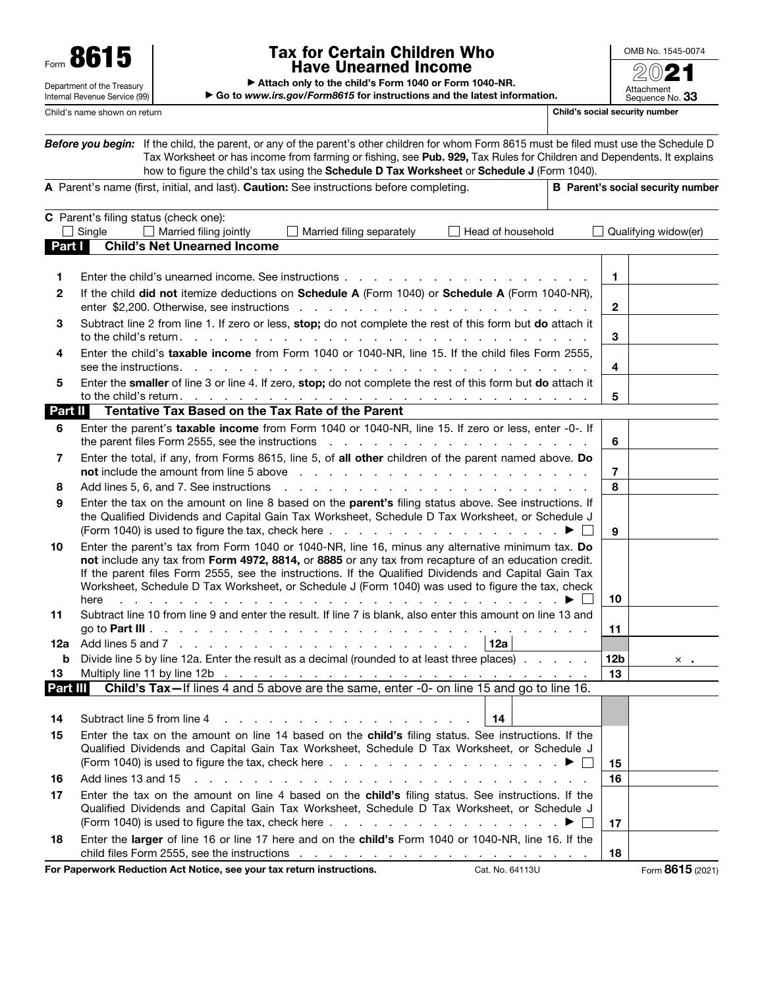Department of the Treasury Internal Revenue Service (99)

## Form  $\mathbf{8615}$   $\begin{array}{|l|l|l|}\n\hline\n\end{array}$   $\begin{array}{|l|l|}\n\hline\n\end{array}$   $\begin{array}{|l|l|}\n\hline\n\end{array}$   $\begin{array}{|l|l|}\n\hline\n\end{array}$   $\begin{array}{|l|l|}\n\hline\n\end{array}$   $\begin{array}{|l|l|}\n\hline\n\end{array}$   $\begin{array}{|l|l|}\n\hline\n\end{array}$   $\begin{array}{|l|l|}\n\hline\n\end{array}$   $\begin{array}{|l|l$ Have Unearned Income

OMB No. 1545-0074

| Attach only to the child's Form 1040 or Form 1040-NR. |  |
|-------------------------------------------------------|--|
|-------------------------------------------------------|--|

▶ Go to *www.irs.gov/Form8615* for instructions and the latest information. Attachment<br>Sequence No. **33** Child's name shown on return Child's social security number

|          | Before you begin: If the child, the parent, or any of the parent's other children for whom Form 8615 must be filed must use the Schedule D<br>Tax Worksheet or has income from farming or fishing, see Pub. 929, Tax Rules for Children and Dependents. It explains<br>how to figure the child's tax using the Schedule D Tax Worksheet or Schedule J (Form 1040).                                                                                                                                                                       |                 |                                          |
|----------|------------------------------------------------------------------------------------------------------------------------------------------------------------------------------------------------------------------------------------------------------------------------------------------------------------------------------------------------------------------------------------------------------------------------------------------------------------------------------------------------------------------------------------------|-----------------|------------------------------------------|
|          | A Parent's name (first, initial, and last). Caution: See instructions before completing.                                                                                                                                                                                                                                                                                                                                                                                                                                                 |                 | <b>B</b> Parent's social security number |
| Part I   | C Parent's filing status (check one):<br>Single<br>Married filing jointly<br>Married filing separately<br>Head of household<br><b>Child's Net Unearned Income</b>                                                                                                                                                                                                                                                                                                                                                                        |                 | Qualifying widow(er)                     |
| 1.       | Enter the child's unearned income. See instructions                                                                                                                                                                                                                                                                                                                                                                                                                                                                                      | $\mathbf{1}$    |                                          |
| 2        | If the child did not itemize deductions on Schedule A (Form 1040) or Schedule A (Form 1040-NR),                                                                                                                                                                                                                                                                                                                                                                                                                                          | $\mathbf{2}$    |                                          |
| З        | Subtract line 2 from line 1. If zero or less, stop; do not complete the rest of this form but do attach it<br>to the child's return. $\cdots$ $\cdots$ $\cdots$ $\cdots$ $\cdots$ $\cdots$                                                                                                                                                                                                                                                                                                                                               | 3               |                                          |
| 4        | Enter the child's taxable income from Form 1040 or 1040-NR, line 15. If the child files Form 2555,<br>see the instructions.                                                                                                                                                                                                                                                                                                                                                                                                              | 4               |                                          |
| 5        | Enter the smaller of line 3 or line 4. If zero, stop; do not complete the rest of this form but do attach it<br>to the child's return. $\ldots$ $\ldots$ $\ldots$ $\ldots$ $\ldots$ $\ldots$ $\ldots$ $\ldots$ $\ldots$ $\ldots$ $\ldots$ $\ldots$                                                                                                                                                                                                                                                                                       | 5               |                                          |
| Part II  | Tentative Tax Based on the Tax Rate of the Parent                                                                                                                                                                                                                                                                                                                                                                                                                                                                                        |                 |                                          |
| 6        | Enter the parent's taxable income from Form 1040 or 1040-NR, line 15. If zero or less, enter -0-. If<br>the parent files Form 2555, see the instructions enter the state of the parent files Form 2555, see the instructions                                                                                                                                                                                                                                                                                                             | 6               |                                          |
| 7        | Enter the total, if any, from Forms 8615, line 5, of all other children of the parent named above. Do<br><b>not</b> include the amount from line 5 above $\cdots$ , $\cdots$ , $\cdots$ , $\cdots$ , $\cdots$ , $\cdots$ , $\cdots$ , $\cdots$ , $\cdots$                                                                                                                                                                                                                                                                                | 7               |                                          |
| 8        | Add lines 5, 6, and 7. See instructions<br>the contract of the contract of the contract of the contract of the contract of the contract of the contract of                                                                                                                                                                                                                                                                                                                                                                               | 8               |                                          |
| 9        | Enter the tax on the amount on line 8 based on the parent's filing status above. See instructions. If<br>the Qualified Dividends and Capital Gain Tax Worksheet, Schedule D Tax Worksheet, or Schedule J                                                                                                                                                                                                                                                                                                                                 | 9               |                                          |
| 10       | Enter the parent's tax from Form 1040 or 1040-NR, line 16, minus any alternative minimum tax. Do<br>not include any tax from Form 4972, 8814, or 8885 or any tax from recapture of an education credit.<br>If the parent files Form 2555, see the instructions. If the Qualified Dividends and Capital Gain Tax<br>Worksheet, Schedule D Tax Worksheet, or Schedule J (Form 1040) was used to figure the tax, check<br>المتعاون والمتعاون والمتعاون والمتعاونة والمتعاونة والمتعاونة والمتعاونة والمتعاونة والمتعاونة والمتعاونة<br>here | 10              |                                          |
| 11       | Subtract line 10 from line 9 and enter the result. If line 7 is blank, also enter this amount on line 13 and                                                                                                                                                                                                                                                                                                                                                                                                                             | 11              |                                          |
| 12a      | 12a                                                                                                                                                                                                                                                                                                                                                                                                                                                                                                                                      |                 |                                          |
| b        | Divide line 5 by line 12a. Enter the result as a decimal (rounded to at least three places).                                                                                                                                                                                                                                                                                                                                                                                                                                             | 12 <sub>b</sub> | $\times$ .                               |
| 13       | Multiply line 11 by line 12b<br><u> La característica de la característica de la característica de la cara</u>                                                                                                                                                                                                                                                                                                                                                                                                                           | 13              |                                          |
| Part III | Child's Tax-If lines 4 and 5 above are the same, enter -0- on line 15 and go to line 16.                                                                                                                                                                                                                                                                                                                                                                                                                                                 |                 |                                          |
| 14       | Subtract line 5 from line 4<br>14<br><u>ne de la carra de la carra de la carra de la carra de la carra de la carra de la carra de la carra de la carra de la carra de la carra de la carra de la carra de la carra de la carra de la carra de la carra de la carra de</u>                                                                                                                                                                                                                                                                |                 |                                          |
| 15       | Enter the tax on the amount on line 14 based on the child's filing status. See instructions. If the<br>Qualified Dividends and Capital Gain Tax Worksheet, Schedule D Tax Worksheet, or Schedule J<br>(Form 1040) is used to figure the tax, check here $\ldots$ , $\ldots$ , $\ldots$ , $\ldots$ , $\ldots$ , $\blacktriangleright$                                                                                                                                                                                                     | 15              |                                          |
| 16       | Add lines 13 and 15<br>the contract of the contract of the contract of the contract of the contract of the contract of the contract of the contract of the contract of the contract of the contract of the contract of the contract of the contract o                                                                                                                                                                                                                                                                                    | 16              |                                          |
| 17       | Enter the tax on the amount on line 4 based on the child's filing status. See instructions. If the<br>Qualified Dividends and Capital Gain Tax Worksheet, Schedule D Tax Worksheet, or Schedule J<br>(Form 1040) is used to figure the tax, check here $\ldots$ , $\ldots$ , $\ldots$ , $\ldots$ , $\ldots$<br>$\blacktriangleright$ $\vdash$                                                                                                                                                                                            | 17              |                                          |
| 18       | Enter the larger of line 16 or line 17 here and on the child's Form 1040 or 1040-NR, line 16. If the                                                                                                                                                                                                                                                                                                                                                                                                                                     | 18              |                                          |
|          | For Paperwork Reduction Act Notice, see your tax return instructions.<br>Cat. No. 64113U                                                                                                                                                                                                                                                                                                                                                                                                                                                 |                 | Form 8615 (2021)                         |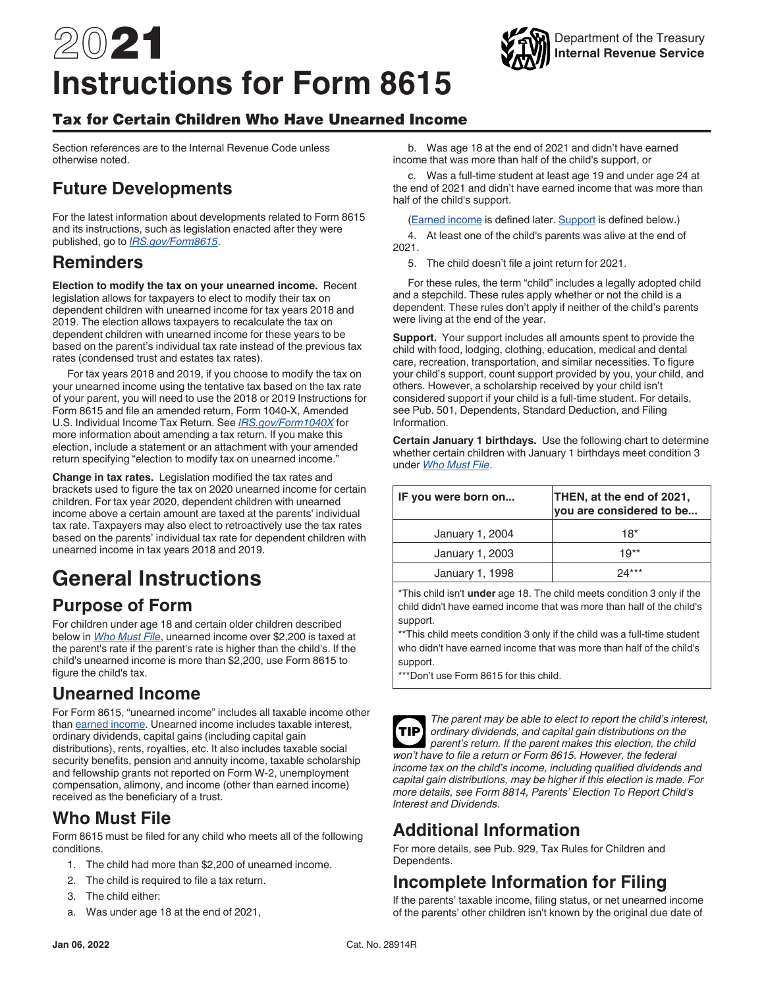# 2021 **Instructions for Form 8615**

#### Tax for Certain Children Who Have Unearned Income

Section references are to the Internal Revenue Code unless otherwise noted.

## **Future Developments**

For the latest information about developments related to Form 8615 and its instructions, such as legislation enacted after they were published, go to *[IRS.gov/Form8615](https://www.irs.gov/form8615)*.

#### **Reminders**

**Election to modify the tax on your unearned income.** Recent legislation allows for taxpayers to elect to modify their tax on dependent children with unearned income for tax years 2018 and 2019. The election allows taxpayers to recalculate the tax on dependent children with unearned income for these years to be based on the parent's individual tax rate instead of the previous tax rates (condensed trust and estates tax rates).

For tax years 2018 and 2019, if you choose to modify the tax on your unearned income using the tentative tax based on the tax rate of your parent, you will need to use the 2018 or 2019 Instructions for Form 8615 and file an amended return, Form 1040-X, Amended U.S. Individual Income Tax Return. See *[IRS.gov/Form1040X](https://www.irs.gov/forms-pubs/about-form-1040x)* for more information about amending a tax return. If you make this election, include a statement or an attachment with your amended return specifying "election to modify tax on unearned income."

**Change in tax rates.** Legislation modified the tax rates and brackets used to figure the tax on 2020 unearned income for certain children. For tax year 2020, dependent children with unearned income above a certain amount are taxed at the parents' individual tax rate. Taxpayers may also elect to retroactively use the tax rates based on the parents' individual tax rate for dependent children with unearned income in tax years 2018 and 2019.

## **General Instructions**

## **Purpose of Form**

For children under age 18 and certain older children described below in *Who Must File*, unearned income over \$2,200 is taxed at the parent's rate if the parent's rate is higher than the child's. If the child's unearned income is more than \$2,200, use Form 8615 to figure the child's tax.

## **Unearned Income**

For Form 8615, "unearned income" includes all taxable income other than earned income. Unearned income includes taxable interest, ordinary dividends, capital gains (including capital gain distributions), rents, royalties, etc. It also includes taxable social security benefits, pension and annuity income, taxable scholarship and fellowship grants not reported on Form W-2, unemployment compensation, alimony, and income (other than earned income) received as the beneficiary of a trust.

## **Who Must File**

Form 8615 must be filed for any child who meets all of the following conditions.

- 1. The child had more than \$2,200 of unearned income.
- 2. The child is required to file a tax return.
- 3. The child either:
- a. Was under age 18 at the end of 2021,

b. Was age 18 at the end of 2021 and didn't have earned income that was more than half of the child's support, or

c. Was a full-time student at least age 19 and under age 24 at the end of 2021 and didn't have earned income that was more than half of the child's support.

(**Earned income** is defined later. **Support** is defined below.)

4. At least one of the child's parents was alive at the end of 2021.

5. The child doesn't file a joint return for 2021.

For these rules, the term "child" includes a legally adopted child and a stepchild. These rules apply whether or not the child is a dependent. These rules don't apply if neither of the child's parents were living at the end of the year.

**Support.** Your support includes all amounts spent to provide the child with food, lodging, clothing, education, medical and dental care, recreation, transportation, and similar necessities. To figure your child's support, count support provided by you, your child, and others. However, a scholarship received by your child isn't considered support if your child is a full-time student. For details, see Pub. 501, Dependents, Standard Deduction, and Filing Information.

**Certain January 1 birthdays.** Use the following chart to determine whether certain children with January 1 birthdays meet condition 3 under *Who Must File*.

| IF you were born on | THEN, at the end of 2021,<br>you are considered to be |  |
|---------------------|-------------------------------------------------------|--|
| January 1, 2004     | $18*$                                                 |  |
| January 1, 2003     | $19**$                                                |  |
| January 1, 1998     |                                                       |  |

\*This child isn't **under** age 18. The child meets condition 3 only if the child didn't have earned income that was more than half of the child's support.

\*\*This child meets condition 3 only if the child was a full-time student who didn't have earned income that was more than half of the child's support.

\*\*\*Don't use Form 8615 for this child.



*The parent may be able to elect to report the child's interest, ordinary dividends, and capital gain distributions on the parent's return. If the parent makes this election, the child won't have to file a return or Form 8615. However, the federal income tax on the child's income, including qualified dividends and capital gain distributions, may be higher if this election is made. For more details, see Form 8814, Parents' Election To Report Child's Interest and Dividends.* **TIP**

## **Additional Information**

For more details, see Pub. 929, Tax Rules for Children and Dependents.

## **Incomplete Information for Filing**

If the parents' taxable income, filing status, or net unearned income of the parents' other children isn't known by the original due date of

#### Department of the Treasury **Internal Revenue Service**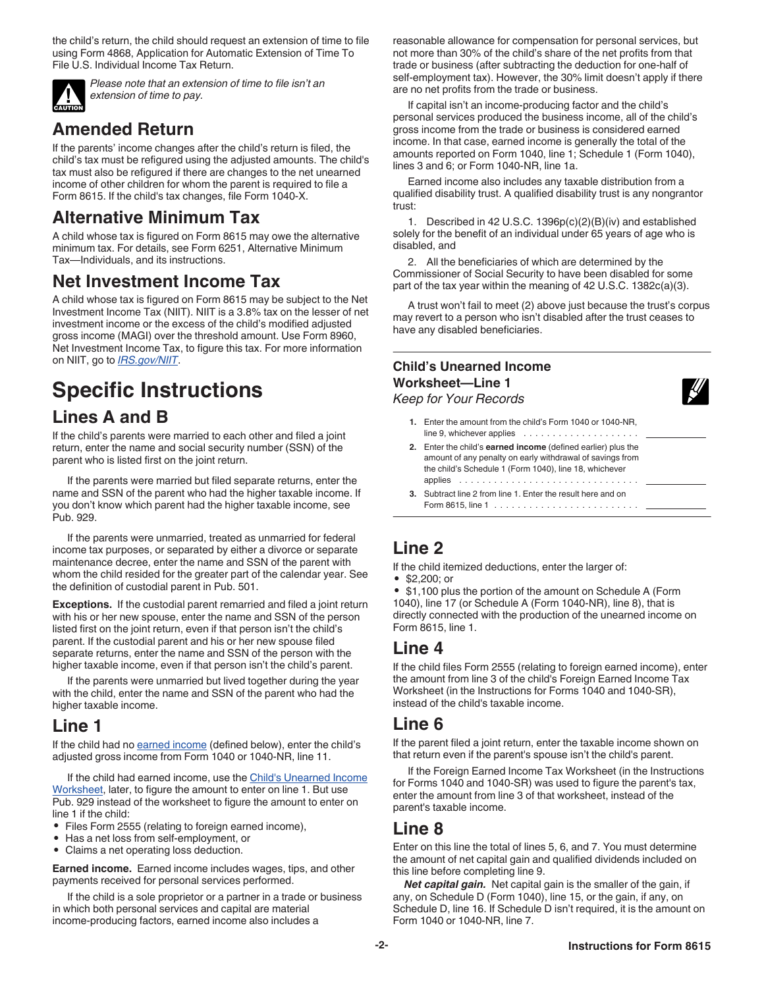the child's return, the child should request an extension of time to file using Form 4868, Application for Automatic Extension of Time To File U.S. Individual Income Tax Return.



*Please note that an extension of time to file isn't an extension of time to pay.*

## **Amended Return**

If the parents' income changes after the child's return is filed, the child's tax must be refigured using the adjusted amounts. The child's tax must also be refigured if there are changes to the net unearned income of other children for whom the parent is required to file a Form 8615. If the child's tax changes, file Form 1040-X.

## **Alternative Minimum Tax**

A child whose tax is figured on Form 8615 may owe the alternative minimum tax. For details, see Form 6251, Alternative Minimum Tax—Individuals, and its instructions.

## **Net Investment Income Tax**

A child whose tax is figured on Form 8615 may be subject to the Net Investment Income Tax (NIIT). NIIT is a 3.8% tax on the lesser of net investment income or the excess of the child's modified adjusted gross income (MAGI) over the threshold amount. Use Form 8960, Net Investment Income Tax, to figure this tax. For more information on NIIT, go to *[IRS.gov/NIIT](https://www.irs.gov/niit)*.

## **Specific Instructions Lines A and B**

If the child's parents were married to each other and filed a joint return, enter the name and social security number (SSN) of the parent who is listed first on the joint return.

If the parents were married but filed separate returns, enter the name and SSN of the parent who had the higher taxable income. If you don't know which parent had the higher taxable income, see Pub. 929.

If the parents were unmarried, treated as unmarried for federal income tax purposes, or separated by either a divorce or separate maintenance decree, enter the name and SSN of the parent with whom the child resided for the greater part of the calendar year. See the definition of custodial parent in Pub. 501.

**Exceptions.** If the custodial parent remarried and filed a joint return with his or her new spouse, enter the name and SSN of the person listed first on the joint return, even if that person isn't the child's parent. If the custodial parent and his or her new spouse filed separate returns, enter the name and SSN of the person with the higher taxable income, even if that person isn't the child's parent.

If the parents were unmarried but lived together during the year with the child, enter the name and SSN of the parent who had the higher taxable income.

## **Line 1**

If the child had no earned income (defined below), enter the child's adjusted gross income from Form 1040 or 1040-NR, line 11.

If the child had earned income, use the Child's Unearned Income Worksheet, later, to figure the amount to enter on line 1. But use Pub. 929 instead of the worksheet to figure the amount to enter on line 1 if the child:

- Files Form 2555 (relating to foreign earned income),
- Has a net loss from self-employment, or
- Claims a net operating loss deduction.

**Earned income.** Earned income includes wages, tips, and other payments received for personal services performed.

If the child is a sole proprietor or a partner in a trade or business in which both personal services and capital are material income-producing factors, earned income also includes a

reasonable allowance for compensation for personal services, but not more than 30% of the child's share of the net profits from that trade or business (after subtracting the deduction for one-half of self-employment tax). However, the 30% limit doesn't apply if there are no net profits from the trade or business.

If capital isn't an income-producing factor and the child's personal services produced the business income, all of the child's gross income from the trade or business is considered earned income. In that case, earned income is generally the total of the amounts reported on Form 1040, line 1; Schedule 1 (Form 1040), lines 3 and 6; or Form 1040-NR, line 1a.

Earned income also includes any taxable distribution from a qualified disability trust. A qualified disability trust is any nongrantor trust:

1. Described in 42 U.S.C. 1396p(c)(2)(B)(iv) and established solely for the benefit of an individual under 65 years of age who is disabled, and

2. All the beneficiaries of which are determined by the Commissioner of Social Security to have been disabled for some part of the tax year within the meaning of 42 U.S.C. 1382c(a)(3).

A trust won't fail to meet (2) above just because the trust's corpus may revert to a person who isn't disabled after the trust ceases to have any disabled beneficiaries.

#### **Child's Unearned Income Worksheet—Line 1**



*Keep for Your Records*

- **1.** Enter the amount from the child's Form 1040 or 1040-NR, line 9, whichever applies . . . . . . . . . . . . . . . . . .
- **2.** Enter the child's **earned income** (defined earlier) plus the amount of any penalty on early withdrawal of savings from the child's Schedule 1 (Form 1040), line 18, whichever applies ...............................
- **3.** Subtract line 2 from line 1. Enter the result here and on Form 8615, line 1 .........................

## **Line 2**

If the child itemized deductions, enter the larger of:

• \$2,200; or

• \$1,100 plus the portion of the amount on Schedule A (Form 1040), line 17 (or Schedule A (Form 1040-NR), line 8), that is directly connected with the production of the unearned income on Form 8615, line 1.

## **Line 4**

If the child files Form 2555 (relating to foreign earned income), enter the amount from line 3 of the child's Foreign Earned Income Tax Worksheet (in the Instructions for Forms 1040 and 1040-SR), instead of the child's taxable income.

#### **Line 6**

If the parent filed a joint return, enter the taxable income shown on that return even if the parent's spouse isn't the child's parent.

If the Foreign Earned Income Tax Worksheet (in the Instructions for Forms 1040 and 1040-SR) was used to figure the parent's tax, enter the amount from line 3 of that worksheet, instead of the parent's taxable income.

## **Line 8**

Enter on this line the total of lines 5, 6, and 7. You must determine the amount of net capital gain and qualified dividends included on this line before completing line 9.

*Net capital gain.* Net capital gain is the smaller of the gain, if any, on Schedule D (Form 1040), line 15, or the gain, if any, on Schedule D, line 16. If Schedule D isn't required, it is the amount on Form 1040 or 1040-NR, line 7.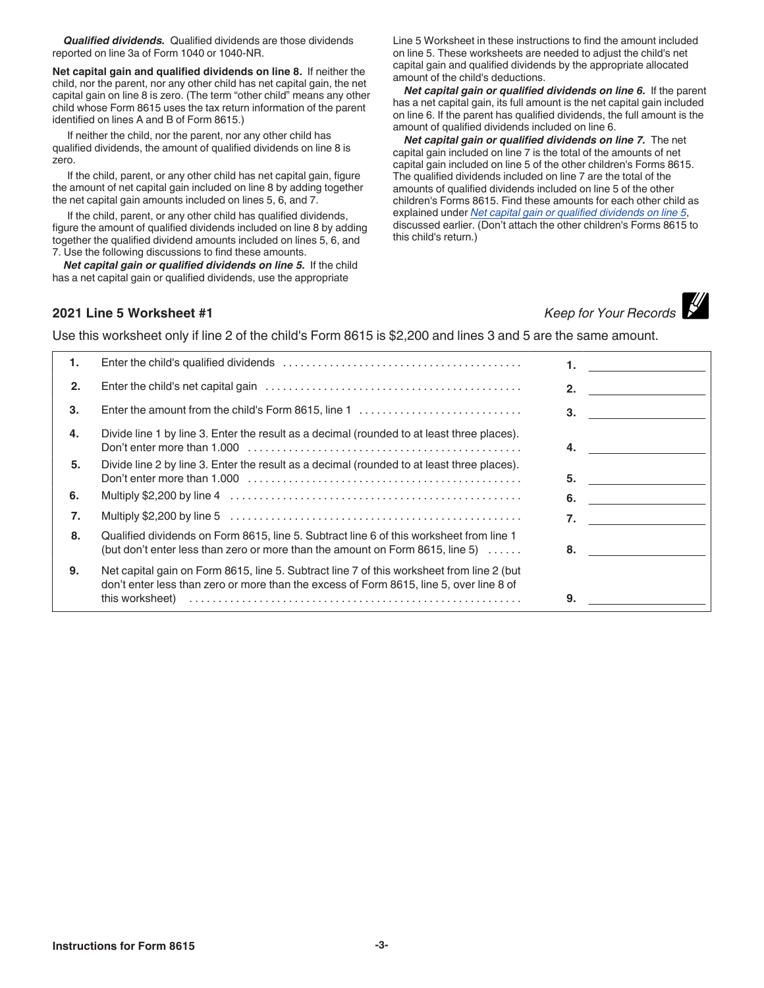*Qualified dividends.* Qualified dividends are those dividends reported on line 3a of Form 1040 or 1040-NR.

**Net capital gain and qualified dividends on line 8.** If neither the child, nor the parent, nor any other child has net capital gain, the net capital gain on line 8 is zero. (The term "other child" means any other child whose Form 8615 uses the tax return information of the parent identified on lines A and B of Form 8615.)

If neither the child, nor the parent, nor any other child has qualified dividends, the amount of qualified dividends on line 8 is zero.

If the child, parent, or any other child has net capital gain, figure the amount of net capital gain included on line 8 by adding together the net capital gain amounts included on lines 5, 6, and 7.

If the child, parent, or any other child has qualified dividends, figure the amount of qualified dividends included on line 8 by adding together the qualified dividend amounts included on lines 5, 6, and 7. Use the following discussions to find these amounts.

*Net capital gain or qualified dividends on line 5.* If the child has a net capital gain or qualified dividends, use the appropriate

Line 5 Worksheet in these instructions to find the amount included on line 5. These worksheets are needed to adjust the child's net capital gain and qualified dividends by the appropriate allocated amount of the child's deductions.

*Net capital gain or qualified dividends on line 6.* If the parent has a net capital gain, its full amount is the net capital gain included on line 6. If the parent has qualified dividends, the full amount is the amount of qualified dividends included on line 6.

*Net capital gain or qualified dividends on line 7.* The net capital gain included on line 7 is the total of the amounts of net capital gain included on line 5 of the other children's Forms 8615. The qualified dividends included on line 7 are the total of the amounts of qualified dividends included on line 5 of the other children's Forms 8615. Find these amounts for each other child as explained under *Net capital gain or qualified dividends on line 5*, discussed earlier. (Don't attach the other children's Forms 8615 to this child's return.)

## **2021 Line 5 Worksheet #1** *Keep for Your Records*



Use this worksheet only if line 2 of the child's Form 8615 is \$2,200 and lines 3 and 5 are the same amount.

| 1. |                                                                                                                                                                                                         |    |
|----|---------------------------------------------------------------------------------------------------------------------------------------------------------------------------------------------------------|----|
| 2. |                                                                                                                                                                                                         | 2. |
| 3. | Enter the amount from the child's Form 8615, line 1                                                                                                                                                     | 3. |
| 4. | Divide line 1 by line 3. Enter the result as a decimal (rounded to at least three places).                                                                                                              | 4. |
| 5. | Divide line 2 by line 3. Enter the result as a decimal (rounded to at least three places).                                                                                                              | 5. |
| 6. |                                                                                                                                                                                                         | 6. |
| 7. |                                                                                                                                                                                                         | 7. |
| 8. | Qualified dividends on Form 8615, line 5. Subtract line 6 of this worksheet from line 1<br>(but don't enter less than zero or more than the amount on Form 8615, line 5) $\dots$                        | 8. |
| 9. | Net capital gain on Form 8615, line 5. Subtract line 7 of this worksheet from line 2 (but<br>don't enter less than zero or more than the excess of Form 8615, line 5, over line 8 of<br>this worksheet) | 9. |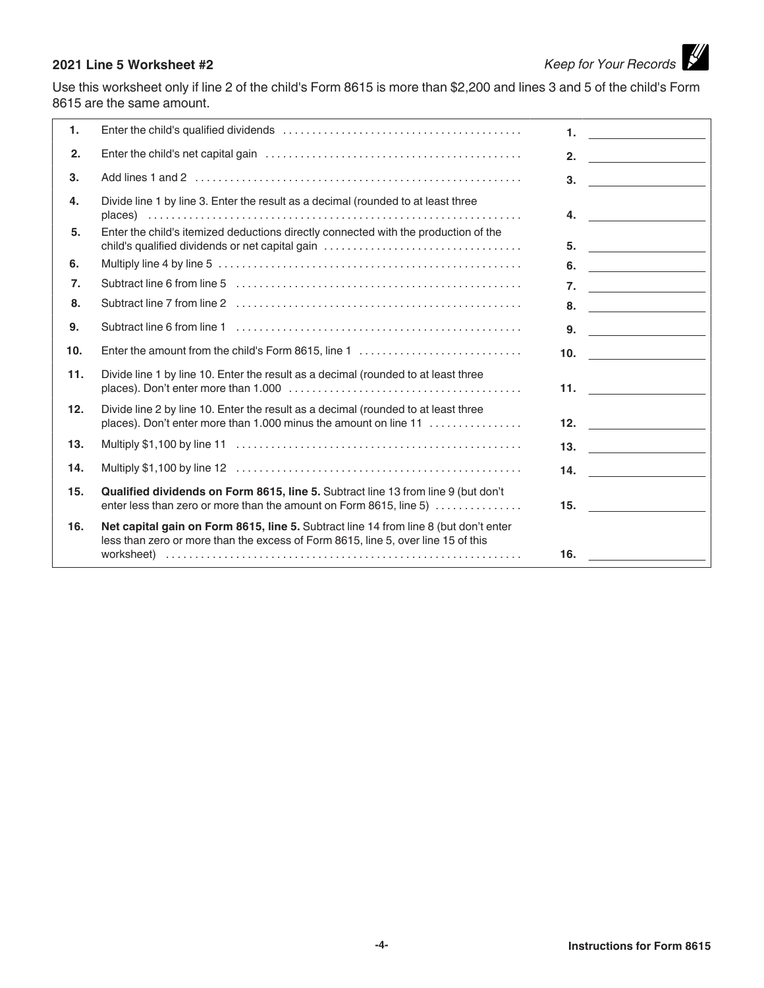# **2021 Line 5 Worksheet #2** *Keep for Your Records*

Use this worksheet only if line 2 of the child's Form 8615 is more than \$2,200 and lines 3 and 5 of the child's Form 8615 are the same amount.

| 1.               |                                                                                                                                                                           | 1.<br><u> 1990 - Jan Alexandria (h. 1980).</u>                                                                             |
|------------------|---------------------------------------------------------------------------------------------------------------------------------------------------------------------------|----------------------------------------------------------------------------------------------------------------------------|
| 2.               |                                                                                                                                                                           | 2.                                                                                                                         |
| 3.               |                                                                                                                                                                           | 3.                                                                                                                         |
| 4.               | Divide line 1 by line 3. Enter the result as a decimal (rounded to at least three                                                                                         | 4.<br><u> 1989 - Andrea State Barbara, amerikan per</u>                                                                    |
| 5.               | Enter the child's itemized deductions directly connected with the production of the<br>child's qualified dividends or net capital gain                                    | 5.<br><u> 1980 - Andrea Andrew Maria III, populație de la provincia de la provincia de la provincia de la provincia de</u> |
| 6.               |                                                                                                                                                                           | 6.<br><u> 1989 - Andrea State Barbara, poet</u>                                                                            |
| $\overline{7}$ . |                                                                                                                                                                           | 7. $\qquad \qquad$                                                                                                         |
| 8.               |                                                                                                                                                                           |                                                                                                                            |
| 9.               |                                                                                                                                                                           | $9.$ $\qquad \qquad \qquad$                                                                                                |
| 10.              | Enter the amount from the child's Form 8615, line 1                                                                                                                       | 10. $\qquad \qquad$                                                                                                        |
| 11.              | Divide line 1 by line 10. Enter the result as a decimal (rounded to at least three                                                                                        | <b>11.</b> $\qquad \qquad$ $\qquad \qquad$ $\qquad \qquad$                                                                 |
| 12.              | Divide line 2 by line 10. Enter the result as a decimal (rounded to at least three<br>places). Don't enter more than 1.000 minus the amount on line 11                    | 12.                                                                                                                        |
| 13.              |                                                                                                                                                                           | 13. $\qquad \qquad$                                                                                                        |
| 14.              |                                                                                                                                                                           | 14.                                                                                                                        |
| 15.              | Qualified dividends on Form 8615, line 5. Subtract line 13 from line 9 (but don't<br>enter less than zero or more than the amount on Form 8615, line 5)                   | 15.                                                                                                                        |
| 16.              | Net capital gain on Form 8615, line 5. Subtract line 14 from line 8 (but don't enter<br>less than zero or more than the excess of Form 8615, line 5, over line 15 of this | 16.                                                                                                                        |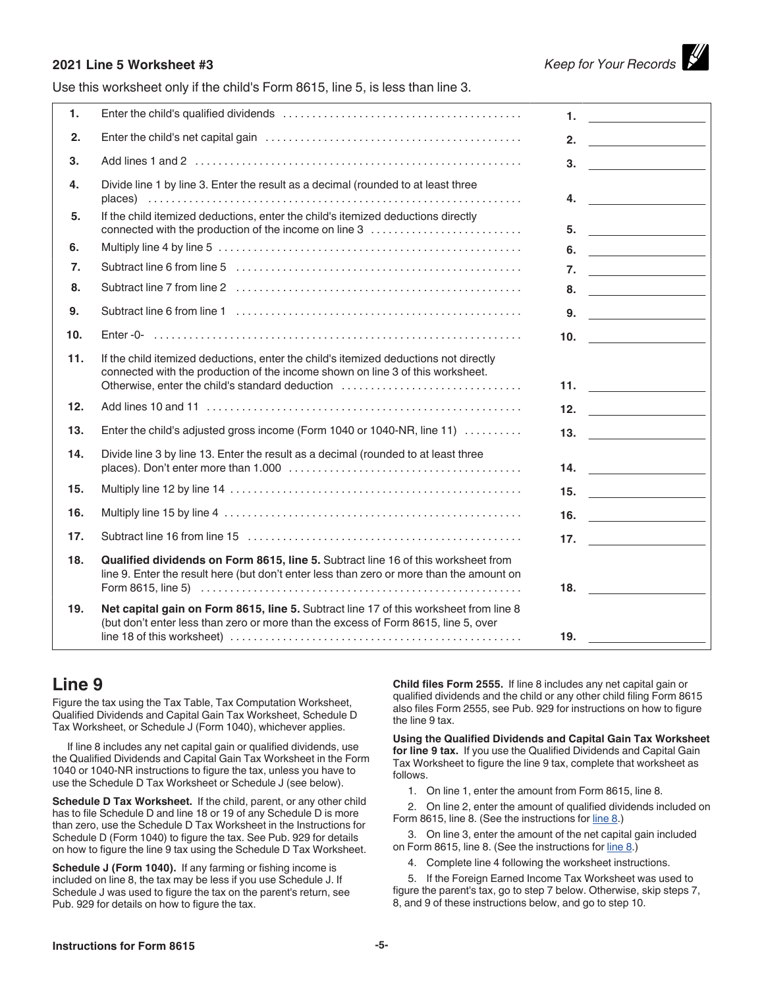#### **2021 Line 5 Worksheet #3** *Keep for Your Records*

Use this worksheet only if the child's Form 8615, line 5, is less than line 3.

| $\mathbf{1}$ . |                                                                                                                                                                                                                           | 1.<br><u> 1980 - Andrea Brand, amerikansk politik (</u>                                                                                                                                                                                                                                                                                                                                                                                                                |  |
|----------------|---------------------------------------------------------------------------------------------------------------------------------------------------------------------------------------------------------------------------|------------------------------------------------------------------------------------------------------------------------------------------------------------------------------------------------------------------------------------------------------------------------------------------------------------------------------------------------------------------------------------------------------------------------------------------------------------------------|--|
| 2.             |                                                                                                                                                                                                                           | 2. $\qquad \qquad$                                                                                                                                                                                                                                                                                                                                                                                                                                                     |  |
| 3.             |                                                                                                                                                                                                                           | 3. $\qquad \qquad$                                                                                                                                                                                                                                                                                                                                                                                                                                                     |  |
| 4.             | Divide line 1 by line 3. Enter the result as a decimal (rounded to at least three                                                                                                                                         | 4. $\qquad \qquad$                                                                                                                                                                                                                                                                                                                                                                                                                                                     |  |
| 5.             | If the child itemized deductions, enter the child's itemized deductions directly<br>connected with the production of the income on line 3                                                                                 | $5.$ $\overline{\phantom{a}}$ $\overline{\phantom{a}}$ $\overline{\phantom{a}}$ $\overline{\phantom{a}}$ $\overline{\phantom{a}}$ $\overline{\phantom{a}}$ $\overline{\phantom{a}}$ $\overline{\phantom{a}}$ $\overline{\phantom{a}}$ $\overline{\phantom{a}}$ $\overline{\phantom{a}}$ $\overline{\phantom{a}}$ $\overline{\phantom{a}}$ $\overline{\phantom{a}}$ $\overline{\phantom{a}}$ $\overline{\phantom{a}}$ $\overline{\phantom{a}}$ $\overline{\phantom{a}}$ |  |
| 6.             |                                                                                                                                                                                                                           | 6. $\qquad \qquad$                                                                                                                                                                                                                                                                                                                                                                                                                                                     |  |
| 7.             |                                                                                                                                                                                                                           | 7. $\qquad \qquad$                                                                                                                                                                                                                                                                                                                                                                                                                                                     |  |
| 8.             |                                                                                                                                                                                                                           |                                                                                                                                                                                                                                                                                                                                                                                                                                                                        |  |
| 9.             |                                                                                                                                                                                                                           | $9. \t\t\underline{\hspace{1.5cm}}$                                                                                                                                                                                                                                                                                                                                                                                                                                    |  |
| 10.            |                                                                                                                                                                                                                           | 10. $\qquad \qquad$                                                                                                                                                                                                                                                                                                                                                                                                                                                    |  |
| 11.            | If the child itemized deductions, enter the child's itemized deductions not directly<br>connected with the production of the income shown on line 3 of this worksheet.<br>Otherwise, enter the child's standard deduction |                                                                                                                                                                                                                                                                                                                                                                                                                                                                        |  |
| 12.            |                                                                                                                                                                                                                           | 12. $\qquad \qquad$                                                                                                                                                                                                                                                                                                                                                                                                                                                    |  |
| 13.            | Enter the child's adjusted gross income (Form 1040 or 1040-NR, line 11)                                                                                                                                                   | 13. $\qquad \qquad$                                                                                                                                                                                                                                                                                                                                                                                                                                                    |  |
| 14.            | Divide line 3 by line 13. Enter the result as a decimal (rounded to at least three                                                                                                                                        | 14. $\qquad \qquad$                                                                                                                                                                                                                                                                                                                                                                                                                                                    |  |
| 15.            |                                                                                                                                                                                                                           | 15. $\qquad \qquad$                                                                                                                                                                                                                                                                                                                                                                                                                                                    |  |
| 16.            |                                                                                                                                                                                                                           | 16. $\qquad \qquad$                                                                                                                                                                                                                                                                                                                                                                                                                                                    |  |
| 17.            |                                                                                                                                                                                                                           | 17. $\qquad \qquad$                                                                                                                                                                                                                                                                                                                                                                                                                                                    |  |
| 18.            | Qualified dividends on Form 8615, line 5. Subtract line 16 of this worksheet from<br>line 9. Enter the result here (but don't enter less than zero or more than the amount on                                             |                                                                                                                                                                                                                                                                                                                                                                                                                                                                        |  |
| 19.            | Net capital gain on Form 8615, line 5. Subtract line 17 of this worksheet from line 8<br>(but don't enter less than zero or more than the excess of Form 8615, line 5, over                                               | 19.                                                                                                                                                                                                                                                                                                                                                                                                                                                                    |  |

#### **Line 9**

Figure the tax using the Tax Table, Tax Computation Worksheet, Qualified Dividends and Capital Gain Tax Worksheet, Schedule D Tax Worksheet, or Schedule J (Form 1040), whichever applies.

If line 8 includes any net capital gain or qualified dividends, use the Qualified Dividends and Capital Gain Tax Worksheet in the Form 1040 or 1040-NR instructions to figure the tax, unless you have to use the Schedule D Tax Worksheet or Schedule J (see below).

**Schedule D Tax Worksheet.** If the child, parent, or any other child has to file Schedule D and line 18 or 19 of any Schedule D is more than zero, use the Schedule D Tax Worksheet in the Instructions for Schedule D (Form 1040) to figure the tax. See Pub. 929 for details on how to figure the line 9 tax using the Schedule D Tax Worksheet.

**Schedule J (Form 1040).** If any farming or fishing income is included on line 8, the tax may be less if you use Schedule J. If Schedule J was used to figure the tax on the parent's return, see Pub. 929 for details on how to figure the tax.

**Child files Form 2555.** If line 8 includes any net capital gain or qualified dividends and the child or any other child filing Form 8615 also files Form 2555, see Pub. 929 for instructions on how to figure the line 9 tax.

**Using the Qualified Dividends and Capital Gain Tax Worksheet for line 9 tax.** If you use the Qualified Dividends and Capital Gain Tax Worksheet to figure the line 9 tax, complete that worksheet as follows.

1. On line 1, enter the amount from Form 8615, line 8.

2. On line 2, enter the amount of qualified dividends included on Form 8615, line 8. (See the instructions for line 8.)

3. On line 3, enter the amount of the net capital gain included on Form 8615, line 8. (See the instructions for line 8.)

4. Complete line 4 following the worksheet instructions.

5. If the Foreign Earned Income Tax Worksheet was used to figure the parent's tax, go to step 7 below. Otherwise, skip steps 7, 8, and 9 of these instructions below, and go to step 10.